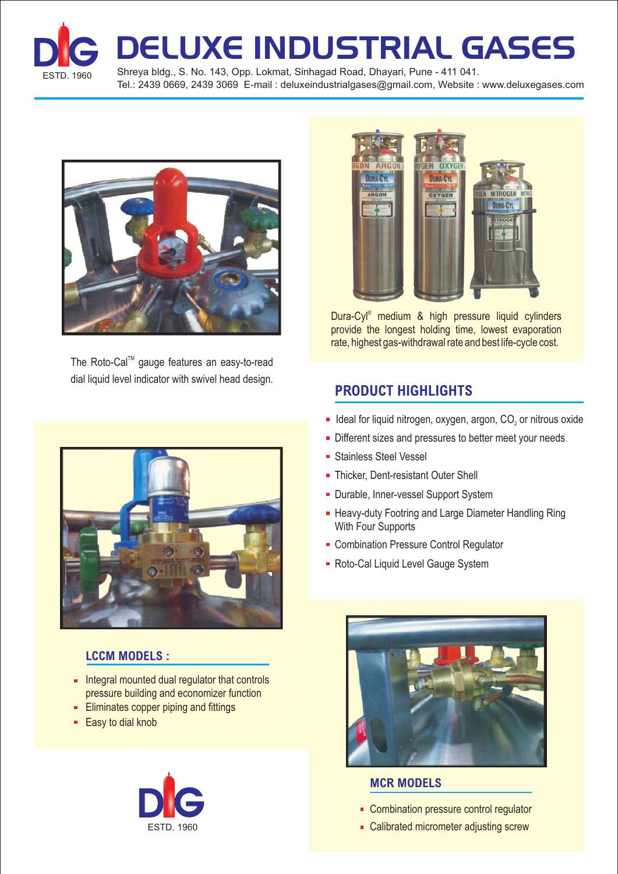

DELUXE INDUSTRIAL GASES

ESTD. 1960 Shreya bldg., S. No. 143, Opp. Lokmat, Sinhagad Road, Dhayari, Pune - 411 041. Tel.: 2439 0669, 2439 3069 E-mail : deluxeindustrialgases@gmail.com, Website : www.deluxegases.com



The Roto-Cal<sup>™</sup> gauge features an easy-to-read dial liquid level indicator with swivel head design.



### **LCCM MODELS :**

- **Integral mounted dual regulator that controls** pressure building and economizer function
- **Eliminates copper piping and fittings**
- **Easy to dial knob**





Dura-Cyl<sup>®</sup> medium & high pressure liquid cylinders provide the longest holding time, lowest evaporation rate, highest gas-withdrawal rate and best life-cycle cost.

### **PRODUCT HIGHLIGHTS**

- Ideal for liquid nitrogen, oxygen, argon,  $CO<sub>2</sub>$  or nitrous oxide
- Different sizes and pressures to better meet your needs
- **Stainless Steel Vessel**
- Thicker, Dent-resistant Outer Shell
- **Durable, Inner-vessel Support System**
- **Heavy-duty Footring and Large Diameter Handling Ring** With Four Supports
- **Combination Pressure Control Regulator**
- Roto-Cal Liquid Level Gauge System



#### **MCR MODELS**

- Combination pressure control regulator
- Calibrated micrometer adjusting screw